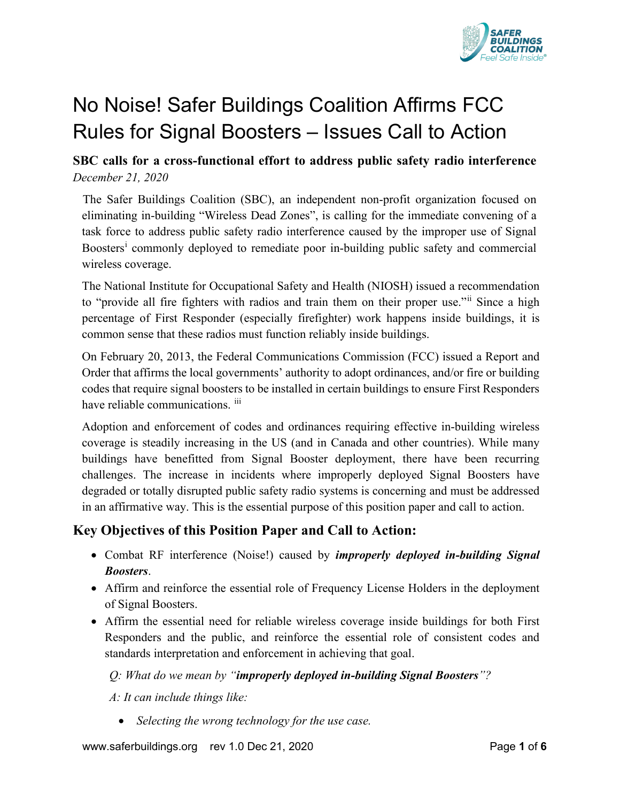<span id="page-0-0"></span>

# No Noise! Safer Buildings Coalition Affirms FCC Rules for Signal Boosters – Issues Call to Action

## **SBC calls for a cross-functional effort to address public safety radio interference**  *December 21, 2020*

The Safer Buildings Coalition (SBC), an independent non-profit organization focused on eliminating in-building "Wireless Dead Zones", is calling for the immediate convening of a task force to address public safety radio interference caused by the improper use of Signal Boosters<sup>1</sup> commonly deployed to remed[i](#page-5-0)ate poor in-building public safety and commercial wireless coverage.

The National Institute for Occupational Safety and Health (NIOSH) issued a recommendation to "provide all fire fighters with radios and train them on their proper use." Since a high percentage of First Responder (especially firefighter) work happens inside buildings, it is common sense that these radios must function reliably inside buildings.

On February 20, 2013, the Federal Communications Commission (FCC) issued a Report and Order that affirms the local governments' authority to adopt ordinances, and/or fire or building codes that require signal boosters to be installed in certain buildings to ensure First Responders have reliable communications. [iii](#page-5-2)

<span id="page-0-1"></span>Adoption and enforcement of codes and ordinances requiring effective in-building wireless coverage is steadily increasing in the US (and in Canada and other countries). While many buildings have benefitted from Signal Booster deployment, there have been recurring challenges. The increase in incidents where improperly deployed Signal Boosters have degraded or totally disrupted public safety radio systems is concerning and must be addressed in an affirmative way. This is the essential purpose of this position paper and call to action.

# **Key Objectives of this Position Paper and Call to Action:**

- Combat RF interference (Noise!) caused by *improperly deployed in-building Signal Boosters*.
- Affirm and reinforce the essential role of Frequency License Holders in the deployment of Signal Boosters.
- Affirm the essential need for reliable wireless coverage inside buildings for both First Responders and the public, and reinforce the essential role of consistent codes and standards interpretation and enforcement in achieving that goal.

#### *Q: What do we mean by "improperly deployed in-building Signal Boosters"?*

*A: It can include things like:*

• *Selecting the wrong technology for the use case.*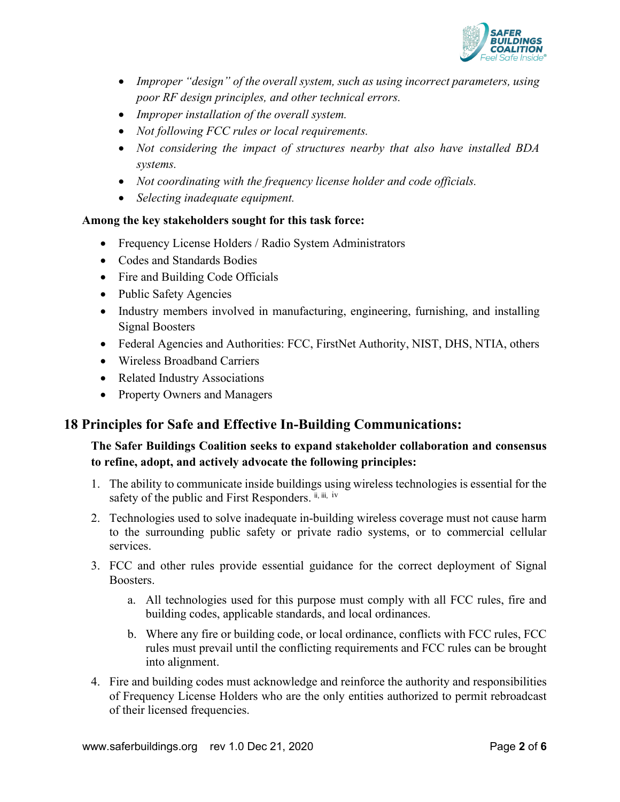

- *Improper "design" of the overall system, such as using incorrect parameters, using poor RF design principles, and other technical errors.*
- *Improper installation of the overall system.*
- *Not following FCC rules or local requirements.*
- *Not considering the impact of structures nearby that also have installed BDA systems.*
- *Not coordinating with the frequency license holder and code officials.*
- *Selecting inadequate equipment.*

#### **Among the key stakeholders sought for this task force:**

- Frequency License Holders / Radio System Administrators
- Codes and Standards Bodies
- Fire and Building Code Officials
- Public Safety Agencies
- Industry members involved in manufacturing, engineering, furnishing, and installing Signal Boosters
- Federal Agencies and Authorities: FCC, FirstNet Authority, NIST, DHS, NTIA, others
- Wireless Broadband Carriers
- Related Industry Associations
- Property Owners and Managers

## **18 Principles for Safe and Effective In-Building Communications:**

#### **The Safer Buildings Coalition seeks to expand stakeholder collaboration and consensus to refine, adopt, and actively advocate the following principles:**

- 1. The ability to communicate inside buildings using wireless technologies is essential for the safety of the public and First Responders.  $\mathbf{i}_{i}$ ,  $\mathbf{i}_{i}$ , [iv](#page-5-3)
- 2. Technologies used to solve inadequate in-building wireless coverage must not cause harm to the surrounding public safety or private radio systems, or to commercial cellular services.
- 3. FCC and other rules provide essential guidance for the correct deployment of Signal Boosters.
	- a. All technologies used for this purpose must comply with all FCC rules, fire and building codes, applicable standards, and local ordinances.
	- b. Where any fire or building code, or local ordinance, conflicts with FCC rules, FCC rules must prevail until the conflicting requirements and FCC rules can be brought into alignment.
- 4. Fire and building codes must acknowledge and reinforce the authority and responsibilities of Frequency License Holders who are the only entities authorized to permit rebroadcast of their licensed frequencies.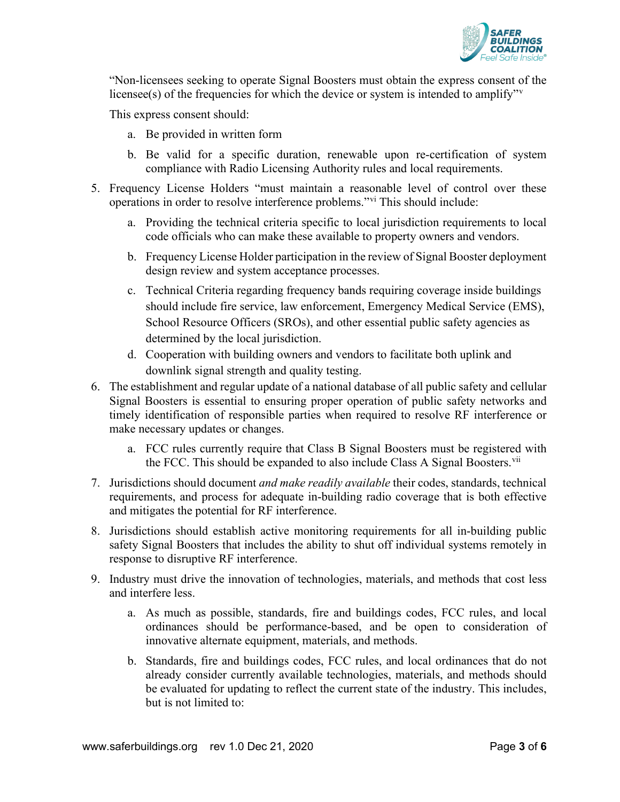

"Non-licensees seeking to operate Signal Boosters must obtain the express consent of the licensee(s) of the frequencies for which the de[v](#page-5-4)ice or system is intended to amplify.<sup> $v$ </sup>

This express consent should:

- a. Be provided in written form
- b. Be valid for a specific duration, renewable upon re-certification of system compliance with Radio Licensing Authority rules and local requirements.
- 5. Frequency License Holders "must maintain a reasonable level of control over these operations in order to resolve interference problems."[vi](#page-5-5) This should include:
	- a. Providing the technical criteria specific to local jurisdiction requirements to local code officials who can make these available to property owners and vendors.
	- b. Frequency License Holder participation in the review of Signal Booster deployment design review and system acceptance processes.
	- c. Technical Criteria regarding frequency bands requiring coverage inside buildings should include fire service, law enforcement, Emergency Medical Service (EMS), School Resource Officers (SROs), and other essential public safety agencies as determined by the local jurisdiction.
	- d. Cooperation with building owners and vendors to facilitate both uplink and downlink signal strength and quality testing.
- 6. The establishment and regular update of a national database of all public safety and cellular Signal Boosters is essential to ensuring proper operation of public safety networks and timely identification of responsible parties when required to resolve RF interference or make necessary updates or changes.
	- a. FCC rules currently require that Class B Signal Boosters must be registered with the FCC. This should be expanded to also include Class A Signal Boosters.<sup>[vii](#page-5-6)</sup>
- 7. Jurisdictions should document *and make readily available* their codes, standards, technical requirements, and process for adequate in-building radio coverage that is both effective and mitigates the potential for RF interference.
- 8. Jurisdictions should establish active monitoring requirements for all in-building public safety Signal Boosters that includes the ability to shut off individual systems remotely in response to disruptive RF interference.
- 9. Industry must drive the innovation of technologies, materials, and methods that cost less and interfere less.
	- a. As much as possible, standards, fire and buildings codes, FCC rules, and local ordinances should be performance-based, and be open to consideration of innovative alternate equipment, materials, and methods.
	- b. Standards, fire and buildings codes, FCC rules, and local ordinances that do not already consider currently available technologies, materials, and methods should be evaluated for updating to reflect the current state of the industry. This includes, but is not limited to: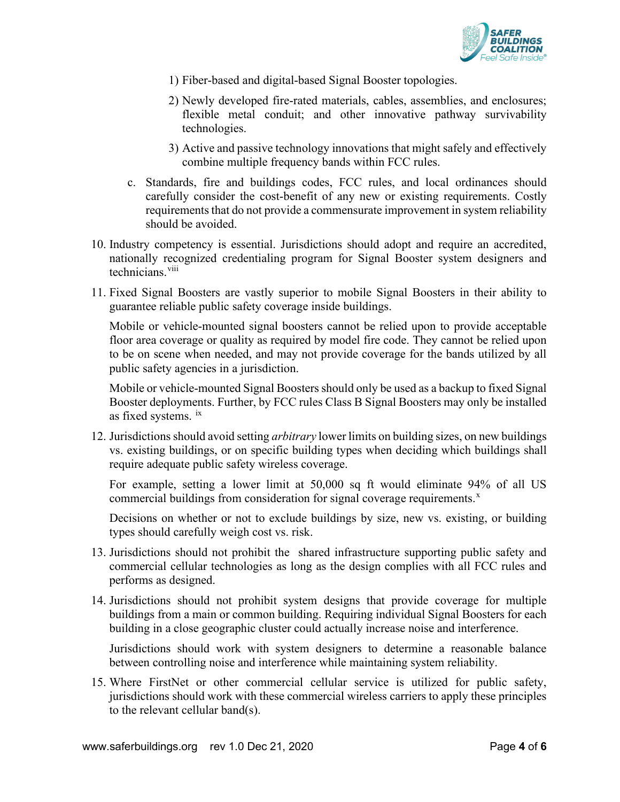

- 1) Fiber-based and digital-based Signal Booster topologies.
- 2) Newly developed fire-rated materials, cables, assemblies, and enclosures; flexible metal conduit; and other innovative pathway survivability technologies.
- 3) Active and passive technology innovations that might safely and effectively combine multiple frequency bands within FCC rules.
- c. Standards, fire and buildings codes, FCC rules, and local ordinances should carefully consider the cost-benefit of any new or existing requirements. Costly requirements that do not provide a commensurate improvement in system reliability should be avoided.
- 10. Industry competency is essential. Jurisdictions should adopt and require an accredited, nationally recognized credentialing program for Signal Booster system designers and technicians.<sup>[viii](#page-5-7)</sup>
- 11. Fixed Signal Boosters are vastly superior to mobile Signal Boosters in their ability to guarantee reliable public safety coverage inside buildings.

Mobile or vehicle-mounted signal boosters cannot be relied upon to provide acceptable floor area coverage or quality as required by model fire code. They cannot be relied upon to be on scene when needed, and may not provide coverage for the bands utilized by all public safety agencies in a jurisdiction.

Mobile or vehicle-mounted Signal Boosters should only be used as a backup to fixed Signal Booster deployments. Further, by FCC rules Class B Signal Boosters may only be installed as f[ix](#page-5-8)ed systems.  $\frac{ix}{ }$ 

12. Jurisdictions should avoid setting *arbitrary* lower limits on building sizes, on new buildings vs. existing buildings, or on specific building types when deciding which buildings shall require adequate public safety wireless coverage.

For example, setting a lower limit at 50,000 sq ft would eliminate 94% of all US commercial buildings from consideration for signal coverage requirements.<sup>[x](#page-5-9)</sup>

Decisions on whether or not to exclude buildings by size, new vs. existing, or building types should carefully weigh cost vs. risk.

- 13. Jurisdictions should not prohibit the shared infrastructure supporting public safety and commercial cellular technologies as long as the design complies with all FCC rules and performs as designed.
- 14. Jurisdictions should not prohibit system designs that provide coverage for multiple buildings from a main or common building. Requiring individual Signal Boosters for each building in a close geographic cluster could actually increase noise and interference.

Jurisdictions should work with system designers to determine a reasonable balance between controlling noise and interference while maintaining system reliability.

15. Where FirstNet or other commercial cellular service is utilized for public safety, jurisdictions should work with these commercial wireless carriers to apply these principles to the relevant cellular band(s).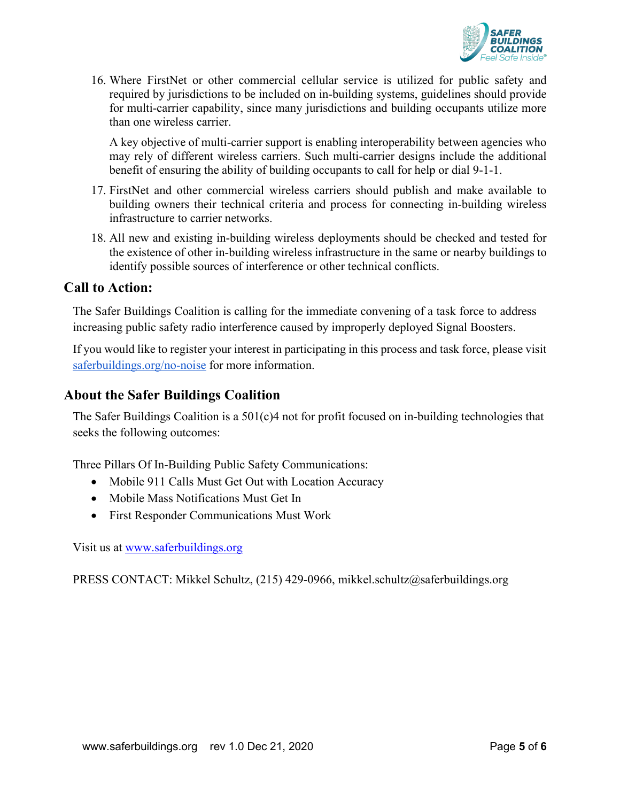

16. Where FirstNet or other commercial cellular service is utilized for public safety and required by jurisdictions to be included on in-building systems, guidelines should provide for multi-carrier capability, since many jurisdictions and building occupants utilize more than one wireless carrier.

A key objective of multi-carrier support is enabling interoperability between agencies who may rely of different wireless carriers. Such multi-carrier designs include the additional benefit of ensuring the ability of building occupants to call for help or dial 9-1-1.

- 17. FirstNet and other commercial wireless carriers should publish and make available to building owners their technical criteria and process for connecting in-building wireless infrastructure to carrier networks.
- 18. All new and existing in-building wireless deployments should be checked and tested for the existence of other in-building wireless infrastructure in the same or nearby buildings to identify possible sources of interference or other technical conflicts.

#### **Call to Action:**

The Safer Buildings Coalition is calling for the immediate convening of a task force to address increasing public safety radio interference caused by improperly deployed Signal Boosters.

If you would like to register your interest in participating in this process and task force, please visit [saferbuildings.org/no-noise](http://www.saferbuildings.org/no-noise) for more information.

#### **About the Safer Buildings Coalition**

The Safer Buildings Coalition is a  $501(c)4$  not for profit focused on in-building technologies that seeks the following outcomes:

Three Pillars Of In-Building Public Safety Communications:

- Mobile 911 Calls Must Get Out with Location Accuracy
- Mobile Mass Notifications Must Get In
- First Responder Communications Must Work

Visit us at [www.saferbuildings.org](http://www.saferbuildings.org/)

PRESS CONTACT: Mikkel Schultz, (215) 429-0966, mikkel.schultz@saferbuildings.org